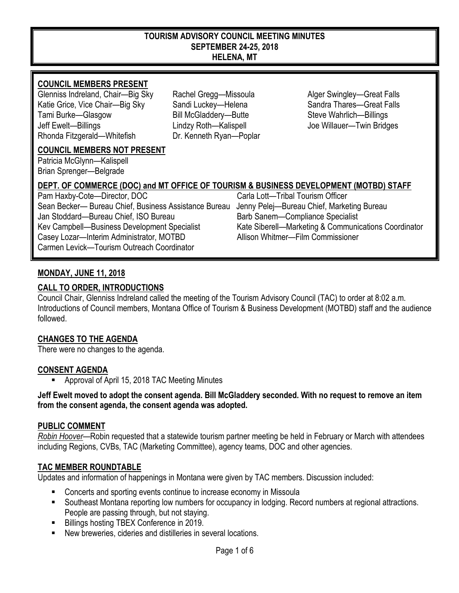#### **TOURISM ADVISORY COUNCIL MEETING MINUTES SEPTEMBER 24-25, 2018 HELENA, MT**

# **COUNCIL MEMBERS PRESENT**

Glenniss Indreland, Chair—Big Sky Rachel Gregg—Missoula Alger Swingley—Great Falls Katie Grice, Vice Chair—Big Sky Sandi Luckey—Helena Sandra Thares—Great Falls Tami Burke—Glasgow Bill McGladdery—Butte Steve Wahrlich—Billings Jeff Ewelt—Billings Lindzy Roth—Kalispell Joe Willauer—Twin Bridges Rhonda Fitzgerald—Whitefish Dr. Kenneth Ryan—Poplar

# **COUNCIL MEMBERS NOT PRESENT**

Patricia McGlynn—Kalispell Brian Sprenger—Belgrade

# **DEPT. OF COMMERCE (DOC) and MT OFFICE OF TOURISM & BUSINESS DEVELOPMENT (MOTBD) STAFF**

Pam Haxby-Cote—Director, DOC Carla Lott—Tribal Tourism Officer Sean Becker— Bureau Chief, Business Assistance Bureau Jenny Pelej—Bureau Chief, Marketing Bureau Jan Stoddard—Bureau Chief, ISO Bureau Barb Sanem—Compliance Specialist Casey Lozar—Interim Administrator, MOTBD Allison Whitmer—Film Commissioner Carmen Levick—Tourism Outreach Coordinator

Kev Campbell—Business Development Specialist Kate Siberell—Marketing & Communications Coordinator

# **MONDAY, JUNE 11, 2018**

# **CALL TO ORDER, INTRODUCTIONS**

Council Chair, Glenniss Indreland called the meeting of the Tourism Advisory Council (TAC) to order at 8:02 a.m. Introductions of Council members, Montana Office of Tourism & Business Development (MOTBD) staff and the audience followed.

# **CHANGES TO THE AGENDA**

There were no changes to the agenda.

# **CONSENT AGENDA**

Approval of April 15, 2018 TAC Meeting Minutes

**Jeff Ewelt moved to adopt the consent agenda. Bill McGladdery seconded. With no request to remove an item from the consent agenda, the consent agenda was adopted.**

# **PUBLIC COMMENT**

*Robin Hoover*—Robin requested that a statewide tourism partner meeting be held in February or March with attendees including Regions, CVBs, TAC (Marketing Committee), agency teams, DOC and other agencies.

# **TAC MEMBER ROUNDTABLE**

Updates and information of happenings in Montana were given by TAC members. Discussion included:

- Concerts and sporting events continue to increase economy in Missoula
- Southeast Montana reporting low numbers for occupancy in lodging. Record numbers at regional attractions. People are passing through, but not staying.
- Billings hosting TBEX Conference in 2019.
- New breweries, cideries and distilleries in several locations.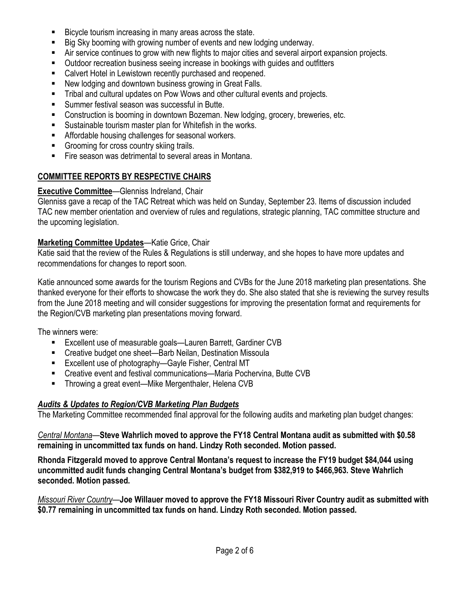- Bicycle tourism increasing in many areas across the state.
- Big Sky booming with growing number of events and new lodging underway.
- Air service continues to grow with new flights to major cities and several airport expansion projects.
- Outdoor recreation business seeing increase in bookings with guides and outfitters
- Calvert Hotel in Lewistown recently purchased and reopened.
- New lodging and downtown business growing in Great Falls.
- **Tribal and cultural updates on Pow Wows and other cultural events and projects.**
- Summer festival season was successful in Butte.
- Construction is booming in downtown Bozeman. New lodging, grocery, breweries, etc.
- Sustainable tourism master plan for Whitefish in the works.
- **Affordable housing challenges for seasonal workers.**
- Grooming for cross country skiing trails.
- Fire season was detrimental to several areas in Montana.

# **COMMITTEE REPORTS BY RESPECTIVE CHAIRS**

### **Executive Committee**—Glenniss Indreland, Chair

Glenniss gave a recap of the TAC Retreat which was held on Sunday, September 23. Items of discussion included TAC new member orientation and overview of rules and regulations, strategic planning, TAC committee structure and the upcoming legislation.

# **Marketing Committee Updates**—Katie Grice, Chair

Katie said that the review of the Rules & Regulations is still underway, and she hopes to have more updates and recommendations for changes to report soon.

Katie announced some awards for the tourism Regions and CVBs for the June 2018 marketing plan presentations. She thanked everyone for their efforts to showcase the work they do. She also stated that she is reviewing the survey results from the June 2018 meeting and will consider suggestions for improving the presentation format and requirements for the Region/CVB marketing plan presentations moving forward.

The winners were:

- Excellent use of measurable goals—Lauren Barrett, Gardiner CVB
- Creative budget one sheet—Barb Neilan, Destination Missoula
- Excellent use of photography—Gayle Fisher, Central MT
- Creative event and festival communications—Maria Pochervina, Butte CVB
- Throwing a great event—Mike Mergenthaler, Helena CVB

# *Audits & Updates to Region/CVB Marketing Plan Budgets*

The Marketing Committee recommended final approval for the following audits and marketing plan budget changes:

*Central Montana*—**Steve Wahrlich moved to approve the FY18 Central Montana audit as submitted with \$0.58 remaining in uncommitted tax funds on hand. Lindzy Roth seconded. Motion passed.** 

**Rhonda Fitzgerald moved to approve Central Montana's request to increase the FY19 budget \$84,044 using uncommitted audit funds changing Central Montana's budget from \$382,919 to \$466,963. Steve Wahrlich seconded. Motion passed.** 

*Missouri River Country*—**Joe Willauer moved to approve the FY18 Missouri River Country audit as submitted with \$0.77 remaining in uncommitted tax funds on hand. Lindzy Roth seconded. Motion passed.**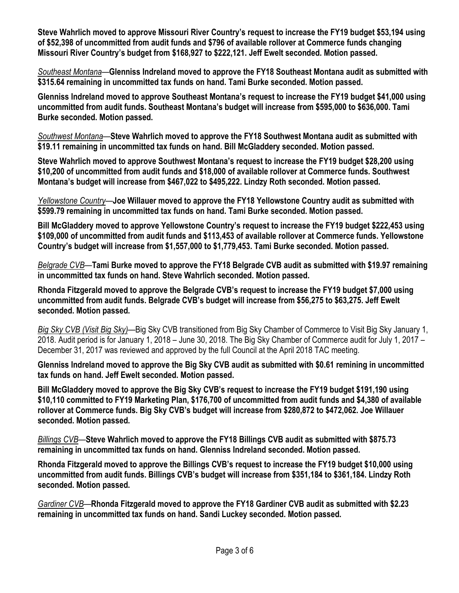**Steve Wahrlich moved to approve Missouri River Country's request to increase the FY19 budget \$53,194 using of \$52,398 of uncommitted from audit funds and \$796 of available rollover at Commerce funds changing Missouri River Country's budget from \$168,927 to \$222,121. Jeff Ewelt seconded. Motion passed.**

*Southeast Montana*—**Glenniss Indreland moved to approve the FY18 Southeast Montana audit as submitted with \$315.64 remaining in uncommitted tax funds on hand. Tami Burke seconded. Motion passed.**

**Glenniss Indreland moved to approve Southeast Montana's request to increase the FY19 budget \$41,000 using uncommitted from audit funds. Southeast Montana's budget will increase from \$595,000 to \$636,000. Tami Burke seconded. Motion passed.** 

*Southwest Montana*—**Steve Wahrlich moved to approve the FY18 Southwest Montana audit as submitted with \$19.11 remaining in uncommitted tax funds on hand. Bill McGladdery seconded. Motion passed.**

**Steve Wahrlich moved to approve Southwest Montana's request to increase the FY19 budget \$28,200 using \$10,200 of uncommitted from audit funds and \$18,000 of available rollover at Commerce funds. Southwest Montana's budget will increase from \$467,022 to \$495,222. Lindzy Roth seconded. Motion passed.**

*Yellowstone Country*—**Joe Willauer moved to approve the FY18 Yellowstone Country audit as submitted with \$599.79 remaining in uncommitted tax funds on hand. Tami Burke seconded. Motion passed.**

**Bill McGladdery moved to approve Yellowstone Country's request to increase the FY19 budget \$222,453 using \$109,000 of uncommitted from audit funds and \$113,453 of available rollover at Commerce funds. Yellowstone Country's budget will increase from \$1,557,000 to \$1,779,453. Tami Burke seconded. Motion passed.** 

*Belgrade CVB*—**Tami Burke moved to approve the FY18 Belgrade CVB audit as submitted with \$19.97 remaining in uncommitted tax funds on hand. Steve Wahrlich seconded. Motion passed.** 

**Rhonda Fitzgerald moved to approve the Belgrade CVB's request to increase the FY19 budget \$7,000 using uncommitted from audit funds. Belgrade CVB's budget will increase from \$56,275 to \$63,275. Jeff Ewelt seconded. Motion passed.** 

*Big Sky CVB (Visit Big Sky)*—Big Sky CVB transitioned from Big Sky Chamber of Commerce to Visit Big Sky January 1, 2018. Audit period is for January 1, 2018 – June 30, 2018. The Big Sky Chamber of Commerce audit for July 1, 2017 – December 31, 2017 was reviewed and approved by the full Council at the April 2018 TAC meeting.

**Glenniss Indreland moved to approve the Big Sky CVB audit as submitted with \$0.61 remining in uncommitted tax funds on hand. Jeff Ewelt seconded. Motion passed.** 

**Bill McGladdery moved to approve the Big Sky CVB's request to increase the FY19 budget \$191,190 using \$10,110 committed to FY19 Marketing Plan, \$176,700 of uncommitted from audit funds and \$4,380 of available rollover at Commerce funds. Big Sky CVB's budget will increase from \$280,872 to \$472,062. Joe Willauer seconded. Motion passed.**

*Billings CVB*—**Steve Wahrlich moved to approve the FY18 Billings CVB audit as submitted with \$875.73 remaining in uncommitted tax funds on hand. Glenniss Indreland seconded. Motion passed.** 

**Rhonda Fitzgerald moved to approve the Billings CVB's request to increase the FY19 budget \$10,000 using uncommitted from audit funds. Billings CVB's budget will increase from \$351,184 to \$361,184. Lindzy Roth seconded. Motion passed.** 

*Gardiner CVB*—**Rhonda Fitzgerald moved to approve the FY18 Gardiner CVB audit as submitted with \$2.23 remaining in uncommitted tax funds on hand. Sandi Luckey seconded. Motion passed.**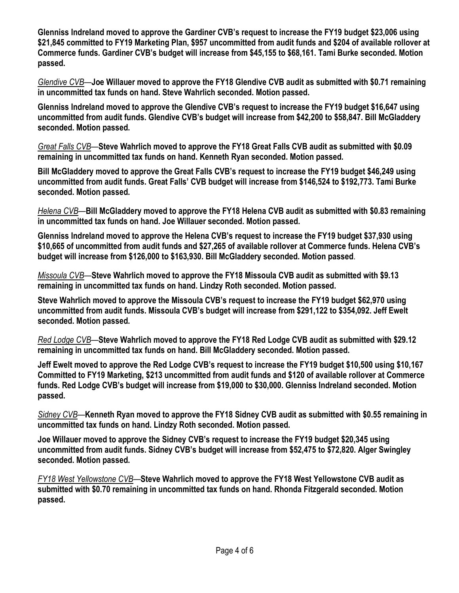**Glenniss Indreland moved to approve the Gardiner CVB's request to increase the FY19 budget \$23,006 using \$21,845 committed to FY19 Marketing Plan, \$957 uncommitted from audit funds and \$204 of available rollover at Commerce funds. Gardiner CVB's budget will increase from \$45,155 to \$68,161. Tami Burke seconded. Motion passed.** 

*Glendive CVB*—**Joe Willauer moved to approve the FY18 Glendive CVB audit as submitted with \$0.71 remaining in uncommitted tax funds on hand. Steve Wahrlich seconded. Motion passed.** 

**Glenniss Indreland moved to approve the Glendive CVB's request to increase the FY19 budget \$16,647 using uncommitted from audit funds. Glendive CVB's budget will increase from \$42,200 to \$58,847. Bill McGladdery seconded. Motion passed.**

*Great Falls CVB*—**Steve Wahrlich moved to approve the FY18 Great Falls CVB audit as submitted with \$0.09 remaining in uncommitted tax funds on hand. Kenneth Ryan seconded. Motion passed.** 

**Bill McGladdery moved to approve the Great Falls CVB's request to increase the FY19 budget \$46,249 using uncommitted from audit funds. Great Falls' CVB budget will increase from \$146,524 to \$192,773. Tami Burke seconded. Motion passed.** 

*Helena CVB*—**Bill McGladdery moved to approve the FY18 Helena CVB audit as submitted with \$0.83 remaining in uncommitted tax funds on hand. Joe Willauer seconded. Motion passed.**

**Glenniss Indreland moved to approve the Helena CVB's request to increase the FY19 budget \$37,930 using \$10,665 of uncommitted from audit funds and \$27,265 of available rollover at Commerce funds. Helena CVB's budget will increase from \$126,000 to \$163,930. Bill McGladdery seconded. Motion passed**.

*Missoula CVB*—**Steve Wahrlich moved to approve the FY18 Missoula CVB audit as submitted with \$9.13 remaining in uncommitted tax funds on hand. Lindzy Roth seconded. Motion passed.** 

**Steve Wahrlich moved to approve the Missoula CVB's request to increase the FY19 budget \$62,970 using uncommitted from audit funds. Missoula CVB's budget will increase from \$291,122 to \$354,092. Jeff Ewelt seconded. Motion passed.** 

*Red Lodge CVB*—**Steve Wahrlich moved to approve the FY18 Red Lodge CVB audit as submitted with \$29.12 remaining in uncommitted tax funds on hand. Bill McGladdery seconded. Motion passed.** 

**Jeff Ewelt moved to approve the Red Lodge CVB's request to increase the FY19 budget \$10,500 using \$10,167 Committed to FY19 Marketing, \$213 uncommitted from audit funds and \$120 of available rollover at Commerce funds. Red Lodge CVB's budget will increase from \$19,000 to \$30,000. Glenniss Indreland seconded. Motion passed.** 

*Sidney CVB*—**Kenneth Ryan moved to approve the FY18 Sidney CVB audit as submitted with \$0.55 remaining in uncommitted tax funds on hand. Lindzy Roth seconded. Motion passed.**

**Joe Willauer moved to approve the Sidney CVB's request to increase the FY19 budget \$20,345 using uncommitted from audit funds. Sidney CVB's budget will increase from \$52,475 to \$72,820. Alger Swingley seconded. Motion passed.**

*FY18 West Yellowstone CVB*—**Steve Wahrlich moved to approve the FY18 West Yellowstone CVB audit as submitted with \$0.70 remaining in uncommitted tax funds on hand. Rhonda Fitzgerald seconded. Motion passed.**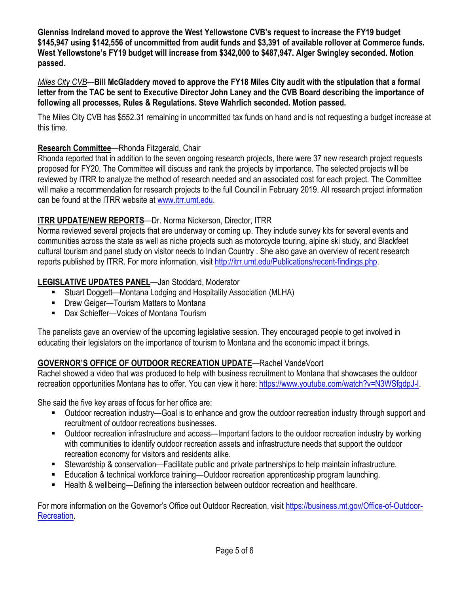**Glenniss Indreland moved to approve the West Yellowstone CVB's request to increase the FY19 budget \$145,947 using \$142,556 of uncommitted from audit funds and \$3,391 of available rollover at Commerce funds. West Yellowstone's FY19 budget will increase from \$342,000 to \$487,947. Alger Swingley seconded. Motion passed.** 

*Miles City CVB*—**Bill McGladdery moved to approve the FY18 Miles City audit with the stipulation that a formal letter from the TAC be sent to Executive Director John Laney and the CVB Board describing the importance of following all processes, Rules & Regulations. Steve Wahrlich seconded. Motion passed.** 

The Miles City CVB has \$552.31 remaining in uncommitted tax funds on hand and is not requesting a budget increase at this time.

# **Research Committee**—Rhonda Fitzgerald, Chair

Rhonda reported that in addition to the seven ongoing research projects, there were 37 new research project requests proposed for FY20. The Committee will discuss and rank the projects by importance. The selected projects will be reviewed by ITRR to analyze the method of research needed and an associated cost for each project. The Committee will make a recommendation for research projects to the full Council in February 2019. All research project information can be found at the ITRR website at [www.itrr.umt.edu.](http://www.itrr.umt.edu/)

# **ITRR UPDATE/NEW REPORTS**—Dr. Norma Nickerson, Director, ITRR

Norma reviewed several projects that are underway or coming up. They include survey kits for several events and communities across the state as well as niche projects such as motorcycle touring, alpine ski study, and Blackfeet cultural tourism and panel study on visitor needs to Indian Country . She also gave an overview of recent research reports published by ITRR. For more information, visi[t http://itrr.umt.edu/Publications/recent-findings.php.](http://itrr.umt.edu/Publications/recent-findings.php)

# **LEGISLATIVE UPDATES PANEL**—Jan Stoddard, Moderator

- Stuart Doggett—Montana Lodging and Hospitality Association (MLHA)
- Drew Geiger—Tourism Matters to Montana
- Dax Schieffer—Voices of Montana Tourism

The panelists gave an overview of the upcoming legislative session. They encouraged people to get involved in educating their legislators on the importance of tourism to Montana and the economic impact it brings.

# **GOVERNOR'S OFFICE OF OUTDOOR RECREATION UPDATE**—Rachel VandeVoort

Rachel showed a video that was produced to help with business recruitment to Montana that showcases the outdoor recreation opportunities Montana has to offer. You can view it here: [https://www.youtube.com/watch?v=N3WSfgdpJ-I.](https://www.youtube.com/watch?v=N3WSfgdpJ-I)

She said the five key areas of focus for her office are:

- Outdoor recreation industry—Goal is to enhance and grow the outdoor recreation industry through support and recruitment of outdoor recreations businesses.
- Outdoor recreation infrastructure and access—Important factors to the outdoor recreation industry by working with communities to identify outdoor recreation assets and infrastructure needs that support the outdoor recreation economy for visitors and residents alike.
- Stewardship & conservation—Facilitate public and private partnerships to help maintain infrastructure.
- Education & technical workforce training—Outdoor recreation apprenticeship program launching.
- Health & wellbeing—Defining the intersection between outdoor recreation and healthcare.

For more information on the Governor's Office out Outdoor Recreation, visit [https://business.mt.gov/Office-of-Outdoor-](https://business.mt.gov/Office-of-Outdoor-Recreation)[Recreation.](https://business.mt.gov/Office-of-Outdoor-Recreation)